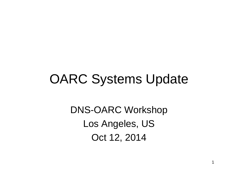#### OARC Systems Update

DNS-OARC Workshop Los Angeles, US Oct 12, 2014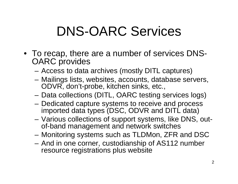### DNS-OARC Services

- To recap, there are a number of services DNS-OARC provides
	- Access to data archives (mostly DITL captures)
	- – Mailings lists, websites, accounts, database servers, ODVR, don't-probe, kitchen sinks, etc.,
	- –Data collections (DITL, OARC testing services logs)
	- Dedicated capture systems to receive and process imported data types (DSC, ODVR and DITL data)
	- Various collections of support systems, like DNS, outof-band management and network switches
	- Monitoring systems such as TLDMon, ZFR and DSC
	- And in one corner, custodianship of AS112 number resource registrations plus website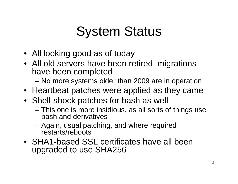## System Status

- All looking good as of today
- All old servers have been retired, migrations have been completed
	- No more systems older than 2009 are in operation
- Heartbeat patches were applied as they came
- Shell-shock patches for bash as well
	- This one is more insidious, as all sorts of things use bash and derivatives
	- Again, usual patching, and where required restarts/reboots
- SHA1-based SSL certificates have all been upgraded to use SHA256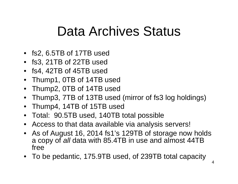#### Data Archives Status

- fs2, 6.5TB of 17TB used
- fs3, 21TB of 22TB used
- fs4, 42TB of 45TB used
- Thump1, 0TB of 14TB used
- Thump2, 0TB of 14TB used
- Thump3, 7TB of 13TB used (mirror of fs3 log holdings)
- Thump4, 14TB of 15TB used
- Total: 90.5TB used, 140TB total possible
- Access to that data available via analysis servers!
- As of August 16, 2014 fs1's 129TB of storage now holds a copy of *all* data with 85.4TB in use and almost 44TB free
- To be pedantic, 175.9TB used, of 239TB total capacity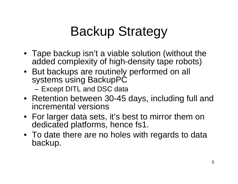## Backup Strategy

- Tape backup isn't a viable solution (without the added complexity of high-density tape robots)
- But backups are routinely performed on all systems using BackupPC
	- Except DITL and DSC data
- Retention between 30-45 days, including full and incremental versions
- For larger data sets, it's best to mirror them on dedicated platforms, hence fs1.
- To date there are no holes with regards to data backup.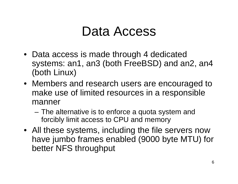#### Data Access

- Data access is made through 4 dedicated systems: an1, an3 (both FreeBSD) and an2, an4 (both Linux)
- Members and research users are encouraged to make use of limited resources in a responsible manner
	- – The alternative is to enforce a quota system and forcibly limit access to CPU and memory
- All these systems, including the file servers now have jumbo frames enabled (9000 byte MTU) for better NFS throughput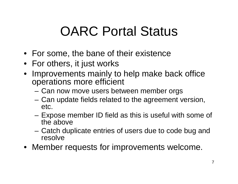## OARC Portal Status

- For some, the bane of their existence
- For others, it just works
- Improvements mainly to help make back office operations more efficient
	- Can now move users between member orgs
	- Can update fields related to the agreement version, etc.
	- Expose member ID field as this is useful with some of the above
	- Catch duplicate entries of users due to code bug and resolve
- Member requests for improvements welcome.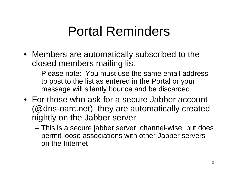### Portal Reminders

- Members are automatically subscribed to the closed members mailing list
	- Please note: You must use the same email address to post to the list as entered in the Portal or your message will silently bounce and be discarded
- For those who ask for a secure Jabber account (@dns-oarc.net), they are automatically created nightly on the Jabber server
	- This is a secure jabber server, channel-wise, but does permit loose associations with other Jabber servers on the Internet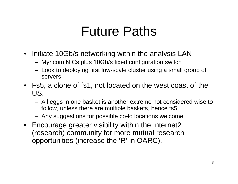#### Future Paths

- Initiate 10Gb/s networking within the analysis LAN
	- Myricom NICs plus 10Gb/s fixed configuration switch
	- Look to deploying first low-scale cluster using a small group of servers
- Fs5, a clone of fs1, not located on the west coast of the US.
	- All eggs in one basket is another extreme not considered wise to follow, unless there are multiple baskets, hence fs5
	- Any suggestions for possible co-lo locations welcome
- Encourage greater visibility within the Internet2 (research) community for more mutual research opportunities (increase the 'R' in OARC).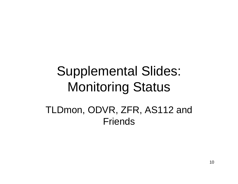## Supplemental Slides: Monitoring Status TLDmon, ODVR, ZFR, AS112 and **Friends**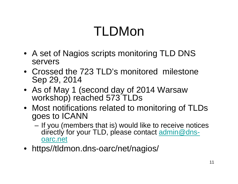## TLDMon

- A set of Nagios scripts monitoring TLD DNS servers
- Crossed the 723 TLD's monitored milestone Sep 29, 2014
- As of May 1 (second day of 2014 Warsaw workshop) reached 573 TLDs
- Most notifications related to monitoring of TLDs goes to ICANN
	- If you (members that is) would like to receive notices directly for your TLD, please contact admin@dnsoarc.net
- https//tldmon.dns-oarc/net/nagios/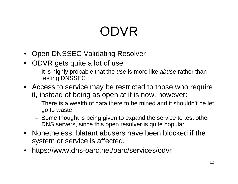# ODVR

- •Open DNSSEC Validating Resolver
- ODVR gets quite a lot of use
	- It is highly probable that the *use* is more like *abuse* rather than testing DNSSEC
- Access to service may be restricted to those who require it, instead of being as open at it is now, however:
	- There is a wealth of data there to be mined and it shouldn't be let go to waste
	- Some thought is being given to expand the service to test other DNS servers, since this open resolver is quite popular
- Nonetheless, blatant abusers have been blocked if the system or service is affected.
- https://www.dns-oarc.net/oarc/services/odvr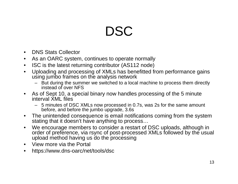# DSC

- •DNS Stats Collector
- As an OARC system, continues to operate normally
- $\bullet$ ISC is the latest returning contributor (AS112 node)
- $\bullet$  Uploading and processing of XMLs has benefitted from performance gains using jumbo frames on the analysis network
	- But during the summer we switched to a local machine to process them directly instead of over NFS
- $\bullet$  As of Sept 10, a special binary now handles processing of the 5 minute interval XML files
	- 5 minutes of DSC XMLs now processed in 0.7s, was 2s for the same amount before, and before the jumbo upgrade, 3.6s
- $\bullet$  The unintended consequence is email notifications coming from the system stating that it doesn't have anything to process…
- $\bullet$  We encourage members to consider a restart of DSC uploads, although in order of preference, via rsync of post-processed XMLs followed by the usual upload method having us do the processing
- View more via the Portal
- $\bullet$ https://www.dns-oarc/net/tools/dsc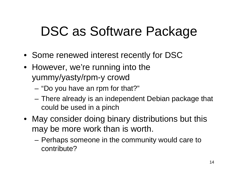### DSC as Software Package

- Some renewed interest recently for DSC
- However, we're running into the yummy/yasty/rpm-y crowd
	- "Do you have an rpm for that?"
	- There already is an independent Debian package that could be used in a pinch
- May consider doing binary distributions but this may be more work than is worth.
	- Perhaps someone in the community would care to contribute?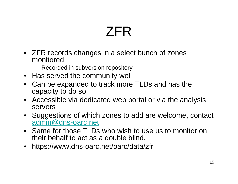# ZFR

- ZFR records changes in a select bunch of zones monitored
	- Recorded in subversion repository
- Has served the community well
- Can be expanded to track more TLDs and has the capacity to do so
- Accessible via dedicated web portal or via the analysis servers
- Suggestions of which zones to add are welcome, contact admin@dns-oarc.net
- Same for those TLDs who wish to use us to monitor on their behalf to act as a double blind.
- https://www.dns-oarc.net/oarc/data/zfr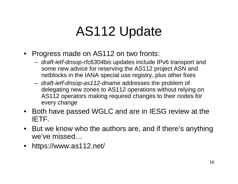### AS112 Update

- Progress made on AS112 on two fronts:
	- *draft-ietf-dnsop-rfc6304bis* updates include IPv6 transport and some new advice for reserving the AS112 project ASN and netblocks in the IANA special use registry, plus other fixes
	- *draft-ietf-dnsop-as112-dname* addresses the problem of delegating new zones to AS112 operations without relying on AS112 operators making required changes to their nodes for every change
- Both have passed WGLC and are in IESG review at the IETF.
- But we know who the authors are, and if there's anything we've missed…
- https://www.as112.net/